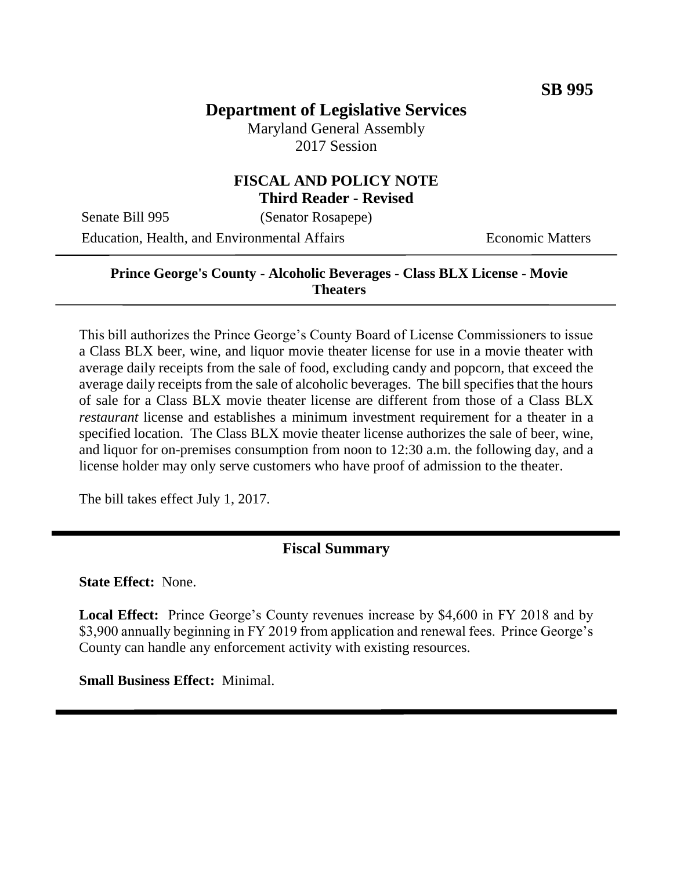# **Department of Legislative Services**

Maryland General Assembly 2017 Session

### **FISCAL AND POLICY NOTE Third Reader - Revised**

Senate Bill 995 (Senator Rosapepe)

Education, Health, and Environmental Affairs **Economic Matters** 

### **Prince George's County - Alcoholic Beverages - Class BLX License - Movie Theaters**

This bill authorizes the Prince George's County Board of License Commissioners to issue a Class BLX beer, wine, and liquor movie theater license for use in a movie theater with average daily receipts from the sale of food, excluding candy and popcorn, that exceed the average daily receipts from the sale of alcoholic beverages. The bill specifies that the hours of sale for a Class BLX movie theater license are different from those of a Class BLX *restaurant* license and establishes a minimum investment requirement for a theater in a specified location. The Class BLX movie theater license authorizes the sale of beer, wine, and liquor for on-premises consumption from noon to 12:30 a.m. the following day, and a license holder may only serve customers who have proof of admission to the theater.

The bill takes effect July 1, 2017.

### **Fiscal Summary**

**State Effect:** None.

**Local Effect:** Prince George's County revenues increase by \$4,600 in FY 2018 and by \$3,900 annually beginning in FY 2019 from application and renewal fees. Prince George's County can handle any enforcement activity with existing resources.

**Small Business Effect:** Minimal.